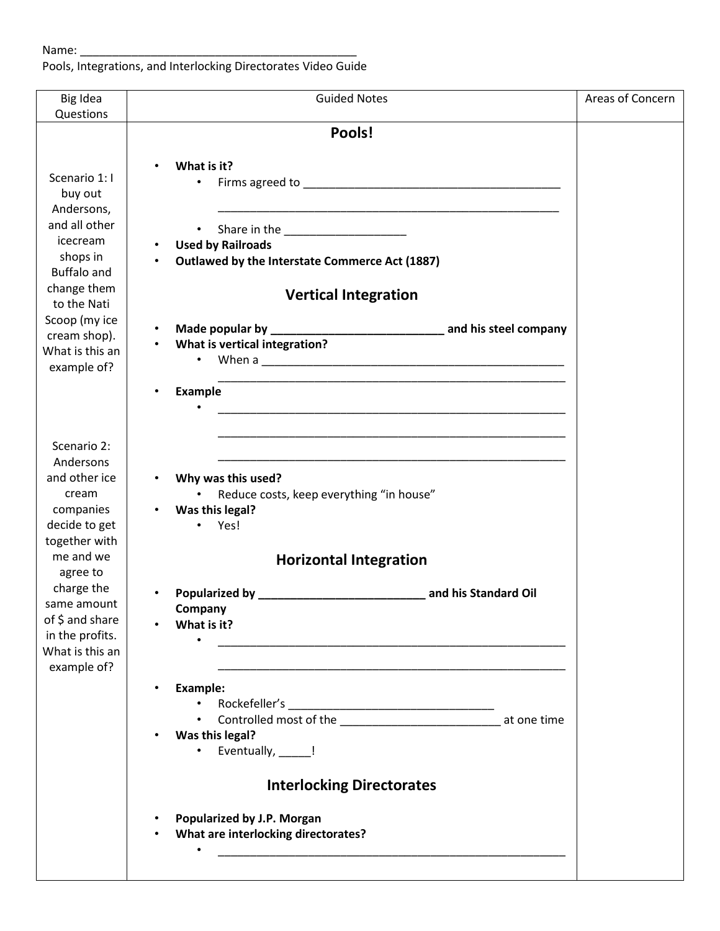Pools, Integrations, and Interlocking Directorates Video Guide

| Big Idea                                                                                                                                                                                                                        | <b>Guided Notes</b>                                                                                                                                                                                                                                                                                                                                                                                                                                | Areas of Concern |
|---------------------------------------------------------------------------------------------------------------------------------------------------------------------------------------------------------------------------------|----------------------------------------------------------------------------------------------------------------------------------------------------------------------------------------------------------------------------------------------------------------------------------------------------------------------------------------------------------------------------------------------------------------------------------------------------|------------------|
| Questions<br>Scenario 1: I<br>buy out<br>Andersons,<br>and all other<br>icecream<br>shops in<br><b>Buffalo and</b><br>change them<br>to the Nati<br>Scoop (my ice<br>cream shop).<br>What is this an<br>example of?             | Pools!<br>What is it?<br>$\bullet$<br>$\bullet$<br><b>Used by Railroads</b><br>Outlawed by the Interstate Commerce Act (1887)<br><b>Vertical Integration</b><br>What is vertical integration?<br>When a <b>contract the contract of the contract of the contract of the contract of the contract of the contract of the contract of the contract of the contract of the contract of the contract of the contract of the contract </b><br>$\bullet$ |                  |
| Scenario 2:<br>Andersons<br>and other ice<br>cream<br>companies<br>decide to get<br>together with<br>me and we<br>agree to<br>charge the<br>same amount<br>of \$ and share<br>in the profits.<br>What is this an<br>example of? | Example<br>Why was this used?<br>Reduce costs, keep everything "in house"<br>$\bullet$<br>Was this legal?<br>• Yes!<br><b>Horizontal Integration</b><br>Company<br>What is it?<br>$\bullet$                                                                                                                                                                                                                                                        |                  |
|                                                                                                                                                                                                                                 | <b>Example:</b><br>Controlled most of the _________________________________ at one time<br>Was this legal?<br>Eventually, ____!<br><b>Interlocking Directorates</b><br>Popularized by J.P. Morgan<br>What are interlocking directorates?<br>the contract of the contract of the contract of the contract of the contract of                                                                                                                        |                  |